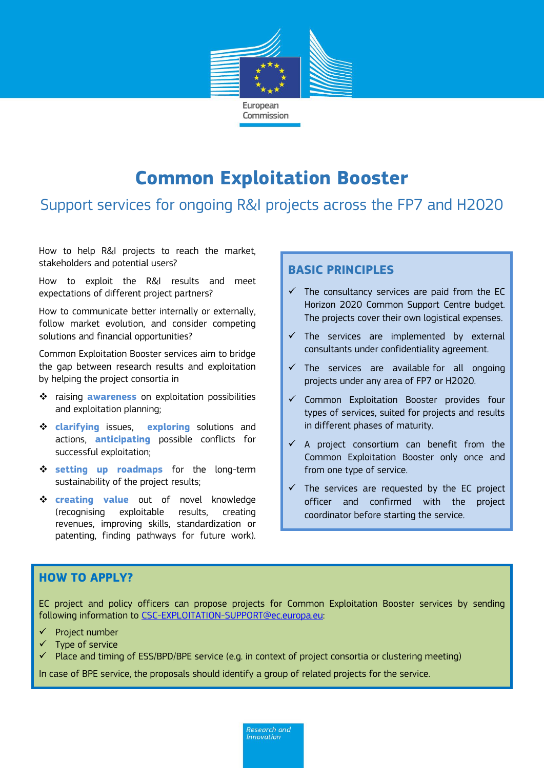

# **Common Exploitation Booster**

## Support services for ongoing R&I projects across the FP7 and H2020

How to help R&I projects to reach the market, stakeholders and potential users?

How to exploit the R&I results and meet expectations of different project partners?

How to communicate better internally or externally, follow market evolution, and consider competing solutions and financial opportunities?

Common Exploitation Booster services aim to bridge the gap between research results and exploitation by helping the project consortia in

- raising **awareness** on exploitation possibilities and exploitation planning;
- **clarifying** issues, **exploring** solutions and actions, **anticipating** possible conflicts for successful exploitation;
- **setting up roadmaps** for the long-term sustainability of the project results;
- **Creating value** out of novel knowledge (recognising exploitable results, creating revenues, improving skills, standardization or patenting, finding pathways for future work).

#### **BASIC PRINCIPLES**

- $\checkmark$  The consultancy services are paid from the EC Horizon 2020 Common Support Centre budget. The projects cover their own logistical expenses.
- $\checkmark$  The services are implemented by external consultants under confidentiality agreement.
- $\checkmark$  The services are available for all ongoing projects under any area of FP7 or H2020.
- $\checkmark$  Common Exploitation Booster provides four types of services, suited for projects and results in different phases of maturity.
- $\checkmark$  A project consortium can benefit from the Common Exploitation Booster only once and from one type of service.
- The services are requested by the EC project officer and confirmed with the project coordinator before starting the service.

#### **HOW TO APPLY?**

EC project and policy officers can propose projects for Common Exploitation Booster services by sending following information to [CSC-EXPLOITATION-SUPPORT@ec.europa.eu:](mailto:CSC-EXPLOITATION-SUPPORT@ec.europa.eu)

- Project number
- $\checkmark$  Type of service
- $\checkmark$  Place and timing of ESS/BPD/BPE service (e.g. in context of project consortia or clustering meeting)

In case of BPE service, the proposals should identify a group of related projects for the service.